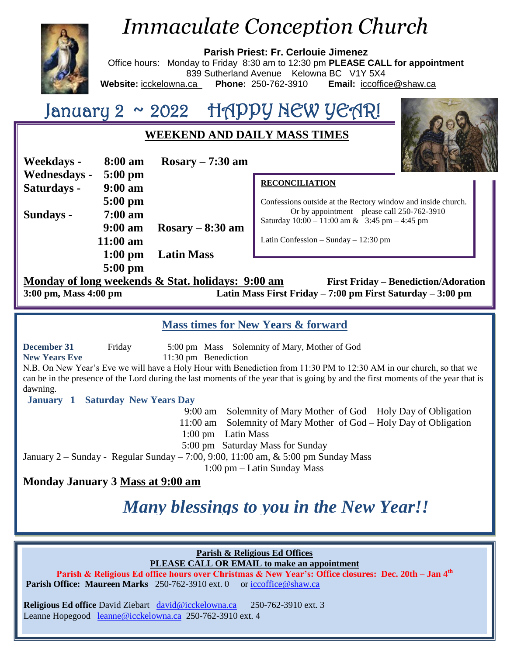

# *Immaculate Conception Church*

**Parish Priest: Fr. Cerlouie Jimenez** Office hours: Monday to Friday 8:30 am to 12:30 pm **PLEASE CALL for appointment** 839 Sutherland Avenue Kelowna BC V1Y 5X4 **Website:** icckelowna.ca **Phone:** 250-762-3910 **Email:** [iccoffice@shaw.ca](mailto:iccoffice@shaw.ca)

# January 2 ~ 2022 HAPPY NEW YEAR!

## **WEEKEND AND DAILY MASS TIMES**

| Weekdays -          | 8:00 am           | $Rosary - 7:30$ am |
|---------------------|-------------------|--------------------|
| <b>Wednesdays -</b> | $5:00$ pm         |                    |
| Saturdays -         | $9:00$ am         |                    |
|                     | $5:00$ pm         |                    |
| Sundays -           | $7:00$ am         |                    |
|                     | $9:00 \text{ am}$ | $Rosary - 8:30$ am |
|                     | $11:00$ am        |                    |
|                     |                   | 1:00 pm Latin Mass |
|                     | $5:00$ pm         |                    |

### **RECONCILIATION**

Confessions outside at the Rectory window and inside church. Or by appointment – please call 250-762-3910 Saturday  $10:00 - 11:00$  am & 3:45 pm – 4:45 pm

Latin Confession – Sunday – 12:30 pm

## **Monday of long weekends & Stat. holidays: 9:00 am First Friday – Benediction/Adoration**

**3:00 pm, Mass 4:00 pm Latin Mass First Friday – 7:00 pm First Saturday – 3:00 pm**

### **Mass times for New Years & forward**

**December 31** Friday 5:00 pm Mass Solemnity of Mary, Mother of God

**New Years Eve** 11:30 pm Benediction

N.B. On New Year's Eve we will have a Holy Hour with Benediction from 11:30 PM to 12:30 AM in our church, so that we can be in the presence of the Lord during the last moments of the year that is going by and the first moments of the year that is dawning.

**January 1 Saturday New Years Day**

9:00 am Solemnity of Mary Mother of God – Holy Day of Obligation

- 11:00 am Solemnity of Mary Mother of God Holy Day of Obligation
	- 1:00 pm Latin Mass

5:00 pm Saturday Mass for Sunday

January 2 – Sunday - Regular Sunday – 7:00, 9:00, 11:00 am, & 5:00 pm Sunday Mass

1:00 pm – Latin Sunday Mass

## **Monday January 3 Mass at 9:00 am**

## *Many blessings to you in the New Year!!*

#### **Parish & Religious Ed Offices PLEASE CALL OR EMAIL to make an appointment**

**Parish & Religious Ed office hours over Christmas & New Year's: Office closures: Dec. 20th – Jan 4th Parish Office: Maureen Marks** 250-762-3910 ext. 0 or [iccoffice@shaw.ca](mailto:iccoffice@shaw.ca)

**Religious Ed office** David Ziebart [david@icckelowna.ca](mailto:david@icckelowna.ca) 250-762-3910 ext. 3 Leanne Hopegood [leanne@icckelowna.ca](mailto:leanne@icckelowna.ca) 250-762-3910 ext. 4